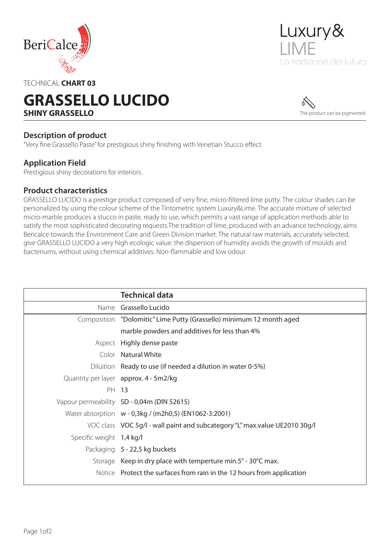



### TECHNICAL **CHART 03**

# **GRASSELLO LUCIDO SHINY GRASSELLO**



### **Description of product**

"Very fine Grassello Paste" for prestigious shiny finishing with Venetian Stucco effect.

### **Application Field**

Prestigious shiny decorations for interiors.

### **Product characteristics**

GRASSELLO LUCIDO is a prestige product composed of very fine, micro-filtered lime putty. The colour shades can be personalized by using the colour scheme of the Tintometric system Luxury&Lime. The accurate mixture of selected micro-marble produces a stucco in paste, ready to use, which permits a vast range of application methods able to satisfy the most sophisticated decorating requests.The tradition of lime, produced with an advance technology, aims Bericalce towards the Environment Care and Green Division market. The natural raw materials, accurately selected, give GRASSELLO LUCIDO a very high ecologic value: the dispersion of humidity avoids the growth of moulds and bacteriums, without using chemical additives. Non-flammable and low odour.

|                          | <b>Technical data</b>                                                      |
|--------------------------|----------------------------------------------------------------------------|
|                          | Name Grassello Lucido                                                      |
|                          | Composition "Dolomitic" Lime Putty (Grassello) minimum 12 month aged       |
|                          | marble powders and additives for less than 4%                              |
|                          | Aspect Highly dense paste                                                  |
|                          | Color Natural White                                                        |
|                          | Diluition Ready to use (if needed a dilution in water 0-5%)                |
|                          | Quantity per layer approx. 4 - 5m2/kg                                      |
| PH 13                    |                                                                            |
|                          | Vapour permeability SD - 0,04m (DIN 52615)                                 |
|                          | Water absorption w - 0,3kg / (m2h0,5) (EN1062-3:2001)                      |
|                          | VOC class VOC 5g/l - wall paint and subcategory "L" max.value UE2010 30g/l |
| Specific weight 1,4 kg/l |                                                                            |
|                          | Packaging 5 - 22,5 kg buckets                                              |
|                          | Storage Keep in dry place with temperture min.5° - 30°C max.               |
|                          | Notice Protect the surfaces from rain in the 12 hours from application     |